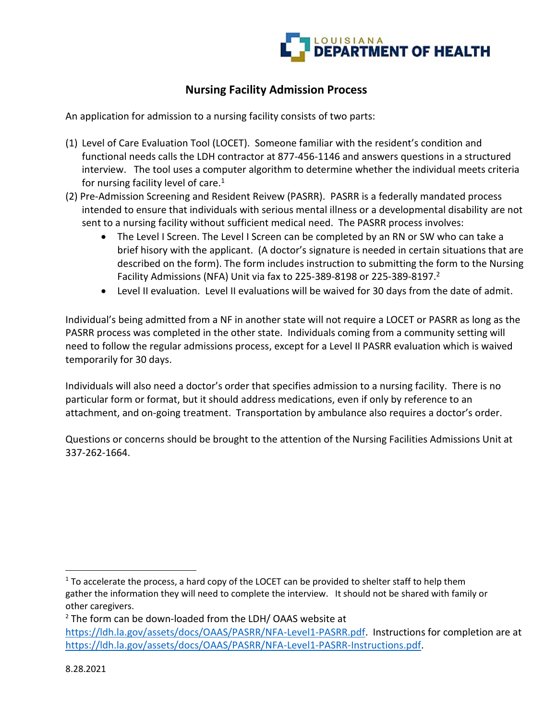

## **Nursing Facility Admission Process**

An application for admission to a nursing facility consists of two parts:

- (1) Level of Care Evaluation Tool (LOCET). Someone familiar with the resident's condition and functional needs calls the LDH contractor at 877-456-1146 and answers questions in a structured interview. The tool uses a computer algorithm to determine whether the individual meets criteria for nursing facility level of care. $1$
- (2) Pre-Admission Screening and Resident Reivew (PASRR). PASRR is a federally mandated process intended to ensure that individuals with serious mental illness or a developmental disability are not sent to a nursing facility without sufficient medical need. The PASRR process involves:
	- The Level I Screen. The Level I Screen can be completed by an RN or SW who can take a brief hisory with the applicant. (A doctor's signature is needed in certain situations that are described on the form). The form includes instruction to submitting the form to the Nursing Facility Admissions (NFA) Unit via fax to 225-389-8198 or 225-389-8197.<sup>2</sup>
	- Level II evaluation. Level II evaluations will be waived for 30 days from the date of admit.

Individual's being admitted from a NF in another state will not require a LOCET or PASRR as long as the PASRR process was completed in the other state. Individuals coming from a community setting will need to follow the regular admissions process, except for a Level II PASRR evaluation which is waived temporarily for 30 days.

Individuals will also need a doctor's order that specifies admission to a nursing facility. There is no particular form or format, but it should address medications, even if only by reference to an attachment, and on-going treatment. Transportation by ambulance also requires a doctor's order.

Questions or concerns should be brought to the attention of the Nursing Facilities Admissions Unit at 337-262-1664.

 $\overline{\phantom{a}}$ 

 $1$  To accelerate the process, a hard copy of the LOCET can be provided to shelter staff to help them gather the information they will need to complete the interview. It should not be shared with family or other caregivers.

<sup>2</sup> The form can be down-loaded from the LDH/ OAAS website at [https://ldh.la.gov/assets/docs/OAAS/PASRR/NFA-Level1-PASRR.pdf.](https://ldh.la.gov/assets/docs/OAAS/PASRR/NFA-Level1-PASRR.pdf) Instructions for completion are at [https://ldh.la.gov/assets/docs/OAAS/PASRR/NFA-Level1-PASRR-Instructions.pdf.](https://ldh.la.gov/assets/docs/OAAS/PASRR/NFA-Level1-PASRR-Instructions.pdf)